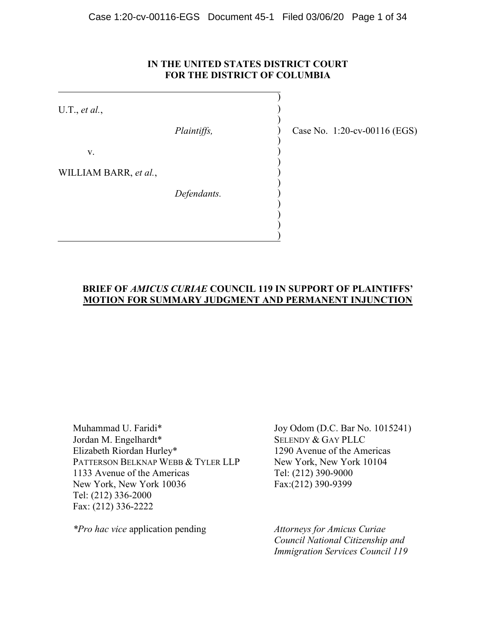# **IN THE UNITED STATES DISTRICT COURT FOR THE DISTRICT OF COLUMBIA**

)

) ) ) ) ) ) ) ) ) ) ) ) )

U.T., *et al.*,

*Plaintiffs,*

v.

WILLIAM BARR, *et al.*,

*Defendants.*

Case No. 1:20-cv-00116 (EGS)

# **BRIEF OF** *AMICUS CURIAE* **COUNCIL 119 IN SUPPORT OF PLAINTIFFS' MOTION FOR SUMMARY JUDGMENT AND PERMANENT INJUNCTION**

Muhammad U. Faridi\* Jordan M. Engelhardt\* Elizabeth Riordan Hurley\* PATTERSON BELKNAP WEBB & TYLER LLP 1133 Avenue of the Americas New York, New York 10036 Tel: (212) 336-2000 Fax: (212) 336-2222

*\*Pro hac vice* application pending

Joy Odom (D.C. Bar No. 1015241) SELENDY & GAY PLLC 1290 Avenue of the Americas New York, New York 10104 Tel: (212) 390-9000 Fax:(212) 390-9399

*Attorneys for Amicus Curiae Council National Citizenship and Immigration Services Council 119*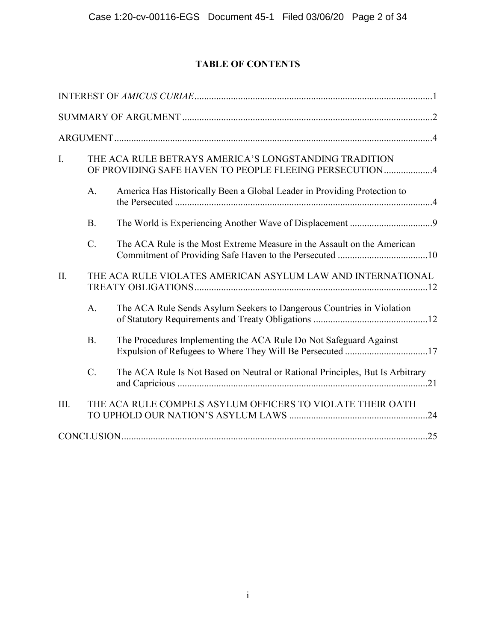# **TABLE OF CONTENTS**

| I.   |                                                             | THE ACA RULE BETRAYS AMERICA'S LONGSTANDING TRADITION<br>OF PROVIDING SAFE HAVEN TO PEOPLE FLEEING PERSECUTION4                |  |
|------|-------------------------------------------------------------|--------------------------------------------------------------------------------------------------------------------------------|--|
|      | A.                                                          | America Has Historically Been a Global Leader in Providing Protection to                                                       |  |
|      | <b>B.</b>                                                   |                                                                                                                                |  |
|      | $\overline{C}$ .                                            | The ACA Rule is the Most Extreme Measure in the Assault on the American                                                        |  |
| II.  | THE ACA RULE VIOLATES AMERICAN ASYLUM LAW AND INTERNATIONAL |                                                                                                                                |  |
|      | A.                                                          | The ACA Rule Sends Asylum Seekers to Dangerous Countries in Violation                                                          |  |
|      | <b>B.</b>                                                   | The Procedures Implementing the ACA Rule Do Not Safeguard Against<br>Expulsion of Refugees to Where They Will Be Persecuted 17 |  |
|      | $\overline{C}$ .                                            | The ACA Rule Is Not Based on Neutral or Rational Principles, But Is Arbitrary                                                  |  |
| III. |                                                             | THE ACA RULE COMPELS ASYLUM OFFICERS TO VIOLATE THEIR OATH                                                                     |  |
|      |                                                             |                                                                                                                                |  |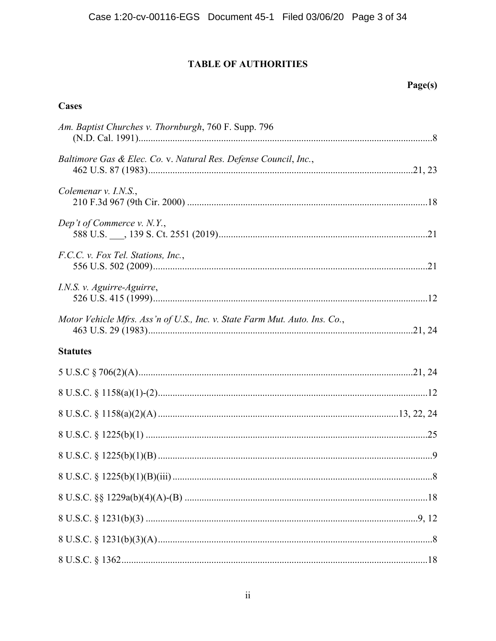# **TABLE OF AUTHORITIES**

# **Cases**

| Am. Baptist Churches v. Thornburgh, 760 F. Supp. 796                       |  |
|----------------------------------------------------------------------------|--|
| Baltimore Gas & Elec. Co. v. Natural Res. Defense Council, Inc.,           |  |
| Colemenar v. I.N.S.,                                                       |  |
| Dep't of Commerce $v. N.Y.,$                                               |  |
| F.C.C. v. Fox Tel. Stations, Inc.,                                         |  |
| I.N.S. v. Aguirre-Aguirre,                                                 |  |
| Motor Vehicle Mfrs. Ass'n of U.S., Inc. v. State Farm Mut. Auto. Ins. Co., |  |
| <b>Statutes</b>                                                            |  |
|                                                                            |  |
|                                                                            |  |
|                                                                            |  |
|                                                                            |  |
|                                                                            |  |
|                                                                            |  |
|                                                                            |  |
|                                                                            |  |
|                                                                            |  |
|                                                                            |  |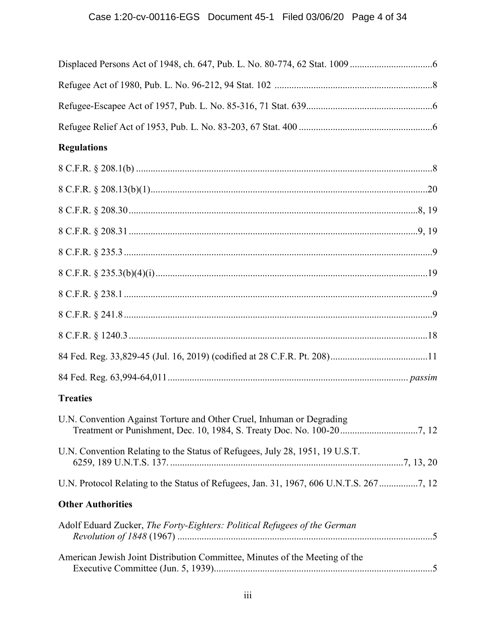# Case 1:20-cv-00116-EGS Document 45-1 Filed 03/06/20 Page 4 of 34

| <b>Regulations</b>                                                                     |  |
|----------------------------------------------------------------------------------------|--|
|                                                                                        |  |
|                                                                                        |  |
|                                                                                        |  |
|                                                                                        |  |
|                                                                                        |  |
|                                                                                        |  |
|                                                                                        |  |
|                                                                                        |  |
|                                                                                        |  |
|                                                                                        |  |
|                                                                                        |  |
| <b>Treaties</b>                                                                        |  |
| U.N. Convention Against Torture and Other Cruel, Inhuman or Degrading                  |  |
| U.N. Convention Relating to the Status of Refugees, July 28, 1951, 19 U.S.T.           |  |
| U.N. Protocol Relating to the Status of Refugees, Jan. 31, 1967, 606 U.N.T.S. 2677, 12 |  |
| <b>Other Authorities</b>                                                               |  |
| Adolf Eduard Zucker, The Forty-Eighters: Political Refugees of the German              |  |
| American Jewish Joint Distribution Committee, Minutes of the Meeting of the            |  |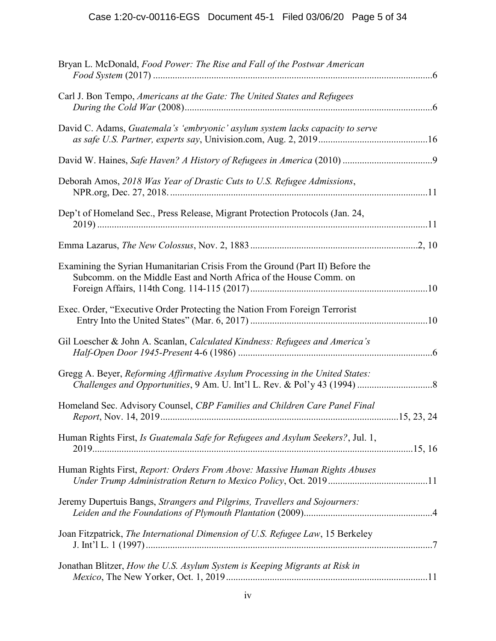| Bryan L. McDonald, Food Power: The Rise and Fall of the Postwar American                                                                            |  |
|-----------------------------------------------------------------------------------------------------------------------------------------------------|--|
| Carl J. Bon Tempo, Americans at the Gate: The United States and Refugees                                                                            |  |
| David C. Adams, Guatemala's 'embryonic' asylum system lacks capacity to serve                                                                       |  |
|                                                                                                                                                     |  |
| Deborah Amos, 2018 Was Year of Drastic Cuts to U.S. Refugee Admissions,                                                                             |  |
| Dep't of Homeland Sec., Press Release, Migrant Protection Protocols (Jan. 24,                                                                       |  |
|                                                                                                                                                     |  |
| Examining the Syrian Humanitarian Crisis From the Ground (Part II) Before the<br>Subcomm. on the Middle East and North Africa of the House Comm. on |  |
| Exec. Order, "Executive Order Protecting the Nation From Foreign Terrorist                                                                          |  |
| Gil Loescher & John A. Scanlan, Calculated Kindness: Refugees and America's                                                                         |  |
| Gregg A. Beyer, Reforming Affirmative Asylum Processing in the United States:                                                                       |  |
| Homeland Sec. Advisory Counsel, CBP Families and Children Care Panel Final                                                                          |  |
| Human Rights First, Is Guatemala Safe for Refugees and Asylum Seekers?, Jul. 1,                                                                     |  |
| Human Rights First, Report: Orders From Above: Massive Human Rights Abuses                                                                          |  |
| Jeremy Dupertuis Bangs, Strangers and Pilgrims, Travellers and Sojourners:                                                                          |  |
| Joan Fitzpatrick, The International Dimension of U.S. Refugee Law, 15 Berkeley                                                                      |  |
| Jonathan Blitzer, How the U.S. Asylum System is Keeping Migrants at Risk in                                                                         |  |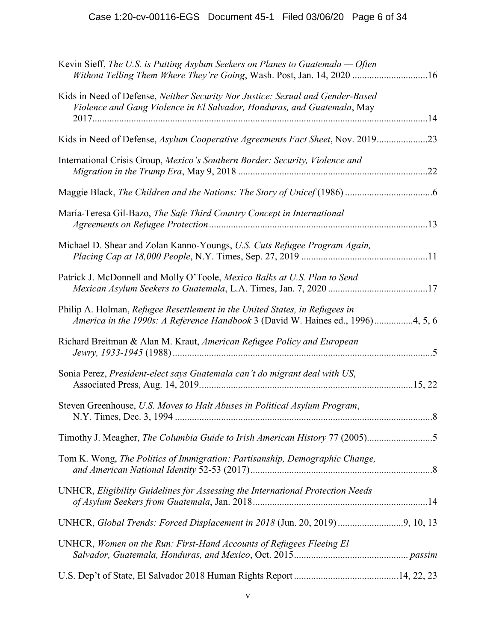| Kevin Sieff, The U.S. is Putting Asylum Seekers on Planes to Guatemala — Often<br>Without Telling Them Where They're Going, Wash. Post, Jan. 14, 2020 16       |
|----------------------------------------------------------------------------------------------------------------------------------------------------------------|
| Kids in Need of Defense, Neither Security Nor Justice: Sexual and Gender-Based<br>Violence and Gang Violence in El Salvador, Honduras, and Guatemala, May      |
| Kids in Need of Defense, Asylum Cooperative Agreements Fact Sheet, Nov. 201923                                                                                 |
| International Crisis Group, Mexico's Southern Border: Security, Violence and                                                                                   |
|                                                                                                                                                                |
| María-Teresa Gil-Bazo, The Safe Third Country Concept in International                                                                                         |
| Michael D. Shear and Zolan Kanno-Youngs, U.S. Cuts Refugee Program Again,                                                                                      |
| Patrick J. McDonnell and Molly O'Toole, Mexico Balks at U.S. Plan to Send                                                                                      |
| Philip A. Holman, Refugee Resettlement in the United States, in Refugees in<br>America in the 1990s: A Reference Handbook 3 (David W. Haines ed., 1996)4, 5, 6 |
| Richard Breitman & Alan M. Kraut, American Refugee Policy and European                                                                                         |
| Sonia Perez, President-elect says Guatemala can't do migrant deal with US,                                                                                     |
| Steven Greenhouse, U.S. Moves to Halt Abuses in Political Asylum Program,                                                                                      |
| Timothy J. Meagher, The Columbia Guide to Irish American History 77 (2005)5                                                                                    |
| Tom K. Wong, The Politics of Immigration: Partisanship, Demographic Change,                                                                                    |
| UNHCR, Eligibility Guidelines for Assessing the International Protection Needs                                                                                 |
| UNHCR, Global Trends: Forced Displacement in 2018 (Jun. 20, 2019) 9, 10, 13                                                                                    |
| UNHCR, Women on the Run: First-Hand Accounts of Refugees Fleeing El                                                                                            |
|                                                                                                                                                                |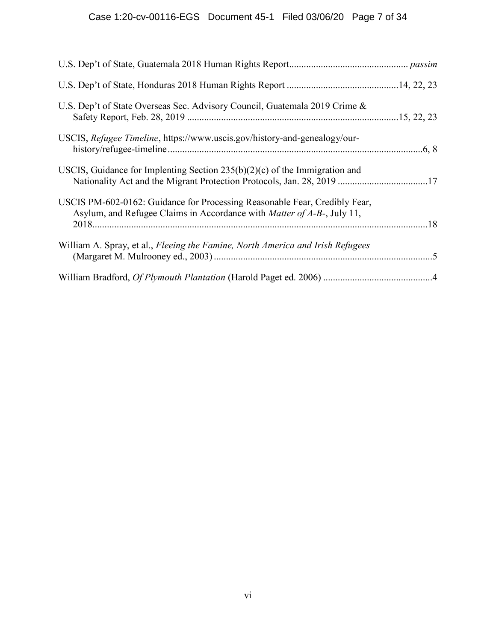| U.S. Dep't of State Overseas Sec. Advisory Council, Guatemala 2019 Crime &                                                                                   |
|--------------------------------------------------------------------------------------------------------------------------------------------------------------|
| USCIS, Refugee Timeline, https://www.uscis.gov/history-and-genealogy/our-                                                                                    |
| USCIS, Guidance for Implenting Section $235(b)(2)(c)$ of the Immigration and<br>Nationality Act and the Migrant Protection Protocols, Jan. 28, 2019 17       |
| USCIS PM-602-0162: Guidance for Processing Reasonable Fear, Credibly Fear,<br>Asylum, and Refugee Claims in Accordance with <i>Matter of A-B-</i> , July 11, |
| William A. Spray, et al., Fleeing the Famine, North America and Irish Refugees                                                                               |
|                                                                                                                                                              |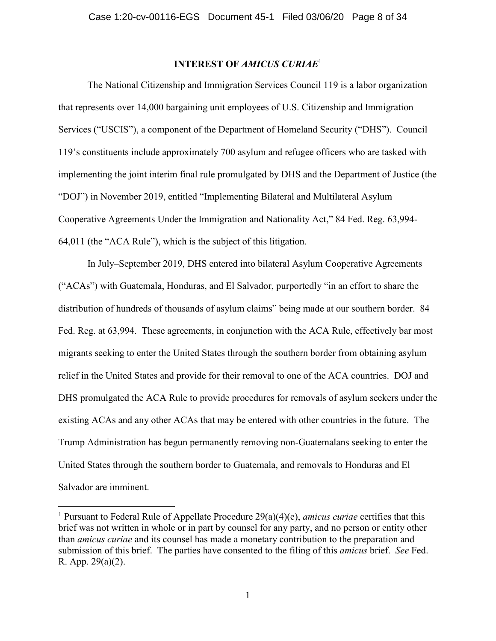# **INTEREST OF** *AMICUS CURIAE*<sup>1</sup>

<span id="page-7-0"></span>The National Citizenship and Immigration Services Council 119 is a labor organization that represents over 14,000 bargaining unit employees of U.S. Citizenship and Immigration Services ("USCIS"), a component of the Department of Homeland Security ("DHS"). Council 119's constituents include approximately 700 asylum and refugee officers who are tasked with implementing the joint interim final rule promulgated by DHS and the Department of Justice (the "DOJ") in November 2019, entitled "Implementing Bilateral and Multilateral Asylum Cooperative Agreements Under the Immigration and Nationality Act," 84 Fed. Reg. 63,994- 64,011 (the "ACA Rule"), which is the subject of this litigation.

In July–September 2019, DHS entered into bilateral Asylum Cooperative Agreements ("ACAs") with Guatemala, Honduras, and El Salvador, purportedly "in an effort to share the distribution of hundreds of thousands of asylum claims" being made at our southern border. 84 Fed. Reg. at 63,994. These agreements, in conjunction with the ACA Rule, effectively bar most migrants seeking to enter the United States through the southern border from obtaining asylum relief in the United States and provide for their removal to one of the ACA countries. DOJ and DHS promulgated the ACA Rule to provide procedures for removals of asylum seekers under the existing ACAs and any other ACAs that may be entered with other countries in the future. The Trump Administration has begun permanently removing non-Guatemalans seeking to enter the United States through the southern border to Guatemala, and removals to Honduras and El Salvador are imminent.

<sup>1</sup> Pursuant to Federal Rule of Appellate Procedure 29(a)(4)(e), *amicus curiae* certifies that this brief was not written in whole or in part by counsel for any party, and no person or entity other than *amicus curiae* and its counsel has made a monetary contribution to the preparation and submission of this brief. The parties have consented to the filing of this *amicus* brief. *See* Fed. R. App. 29(a)(2).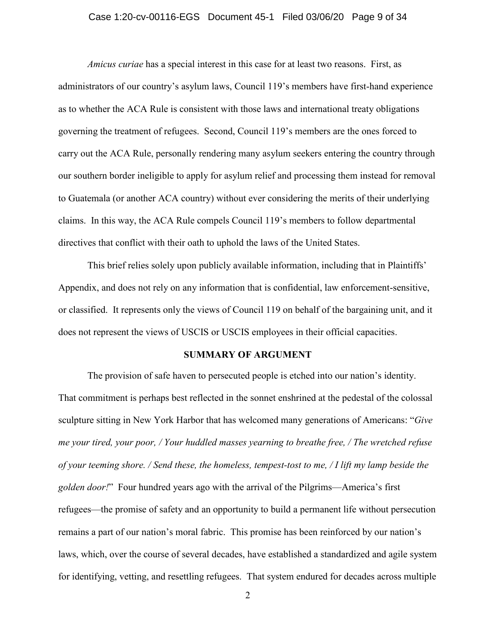### Case 1:20-cv-00116-EGS Document 45-1 Filed 03/06/20 Page 9 of 34

*Amicus curiae* has a special interest in this case for at least two reasons. First, as administrators of our country's asylum laws, Council 119's members have first-hand experience as to whether the ACA Rule is consistent with those laws and international treaty obligations governing the treatment of refugees. Second, Council 119's members are the ones forced to carry out the ACA Rule, personally rendering many asylum seekers entering the country through our southern border ineligible to apply for asylum relief and processing them instead for removal to Guatemala (or another ACA country) without ever considering the merits of their underlying claims. In this way, the ACA Rule compels Council 119's members to follow departmental directives that conflict with their oath to uphold the laws of the United States.

This brief relies solely upon publicly available information, including that in Plaintiffs' Appendix, and does not rely on any information that is confidential, law enforcement-sensitive, or classified. It represents only the views of Council 119 on behalf of the bargaining unit, and it does not represent the views of USCIS or USCIS employees in their official capacities.

### **SUMMARY OF ARGUMENT**

<span id="page-8-0"></span>The provision of safe haven to persecuted people is etched into our nation's identity. That commitment is perhaps best reflected in the sonnet enshrined at the pedestal of the colossal sculpture sitting in New York Harbor that has welcomed many generations of Americans: "*Give me your tired, your poor, / Your huddled masses yearning to breathe free, / The wretched refuse of your teeming shore. / Send these, the homeless, tempest-tost to me, / I lift my lamp beside the golden door!*" Four hundred years ago with the arrival of the Pilgrims—America's first refugees—the promise of safety and an opportunity to build a permanent life without persecution remains a part of our nation's moral fabric. This promise has been reinforced by our nation's laws, which, over the course of several decades, have established a standardized and agile system for identifying, vetting, and resettling refugees. That system endured for decades across multiple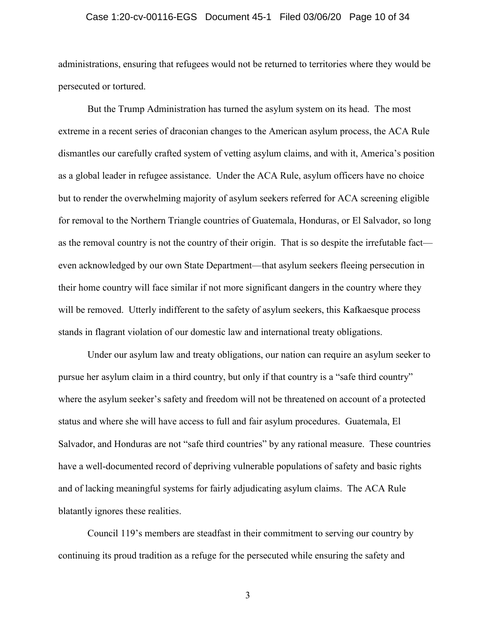### Case 1:20-cv-00116-EGS Document 45-1 Filed 03/06/20 Page 10 of 34

administrations, ensuring that refugees would not be returned to territories where they would be persecuted or tortured.

But the Trump Administration has turned the asylum system on its head. The most extreme in a recent series of draconian changes to the American asylum process, the ACA Rule dismantles our carefully crafted system of vetting asylum claims, and with it, America's position as a global leader in refugee assistance. Under the ACA Rule, asylum officers have no choice but to render the overwhelming majority of asylum seekers referred for ACA screening eligible for removal to the Northern Triangle countries of Guatemala, Honduras, or El Salvador, so long as the removal country is not the country of their origin. That is so despite the irrefutable fact even acknowledged by our own State Department—that asylum seekers fleeing persecution in their home country will face similar if not more significant dangers in the country where they will be removed. Utterly indifferent to the safety of asylum seekers, this Kafkaesque process stands in flagrant violation of our domestic law and international treaty obligations.

Under our asylum law and treaty obligations, our nation can require an asylum seeker to pursue her asylum claim in a third country, but only if that country is a "safe third country" where the asylum seeker's safety and freedom will not be threatened on account of a protected status and where she will have access to full and fair asylum procedures. Guatemala, El Salvador, and Honduras are not "safe third countries" by any rational measure. These countries have a well-documented record of depriving vulnerable populations of safety and basic rights and of lacking meaningful systems for fairly adjudicating asylum claims. The ACA Rule blatantly ignores these realities.

Council 119's members are steadfast in their commitment to serving our country by continuing its proud tradition as a refuge for the persecuted while ensuring the safety and

3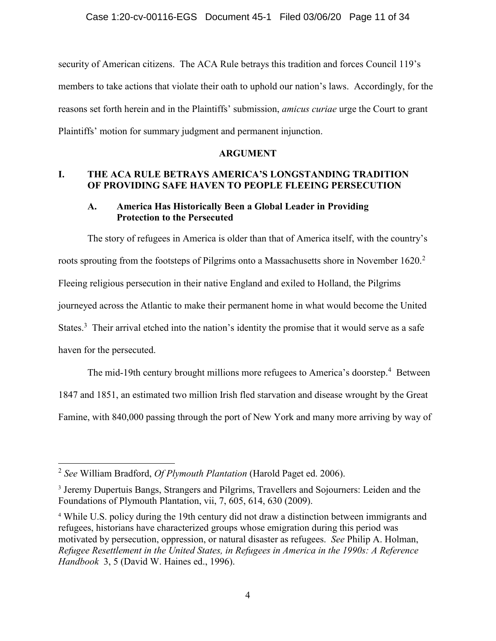security of American citizens. The ACA Rule betrays this tradition and forces Council 119's members to take actions that violate their oath to uphold our nation's laws. Accordingly, for the reasons set forth herein and in the Plaintiffs' submission, *amicus curiae* urge the Court to grant Plaintiffs' motion for summary judgment and permanent injunction.

## **ARGUMENT**

# <span id="page-10-1"></span><span id="page-10-0"></span>**I. THE ACA RULE BETRAYS AMERICA'S LONGSTANDING TRADITION OF PROVIDING SAFE HAVEN TO PEOPLE FLEEING PERSECUTION**

# <span id="page-10-2"></span>**A. America Has Historically Been a Global Leader in Providing Protection to the Persecuted**

The story of refugees in America is older than that of America itself, with the country's roots sprouting from the footsteps of Pilgrims onto a Massachusetts shore in November 1620.<sup>2</sup> Fleeing religious persecution in their native England and exiled to Holland, the Pilgrims journeyed across the Atlantic to make their permanent home in what would become the United States.<sup>3</sup> Their arrival etched into the nation's identity the promise that it would serve as a safe haven for the persecuted.

The mid-19th century brought millions more refugees to America's doorstep.<sup>4</sup> Between

1847 and 1851, an estimated two million Irish fled starvation and disease wrought by the Great

Famine, with 840,000 passing through the port of New York and many more arriving by way of

<span id="page-10-5"></span><sup>2</sup> *See* William Bradford, *Of Plymouth Plantation* (Harold Paget ed. 2006).

<span id="page-10-3"></span><sup>&</sup>lt;sup>3</sup> Jeremy Dupertuis Bangs, Strangers and Pilgrims, Travellers and Sojourners: Leiden and the Foundations of Plymouth Plantation, vii, 7, 605, 614, 630 (2009).

<span id="page-10-4"></span><sup>4</sup> While U.S. policy during the 19th century did not draw a distinction between immigrants and refugees, historians have characterized groups whose emigration during this period was motivated by persecution, oppression, or natural disaster as refugees. *See* Philip A. Holman, *Refugee Resettlement in the United States, in Refugees in America in the 1990s: A Reference Handbook* 3, 5 (David W. Haines ed., 1996).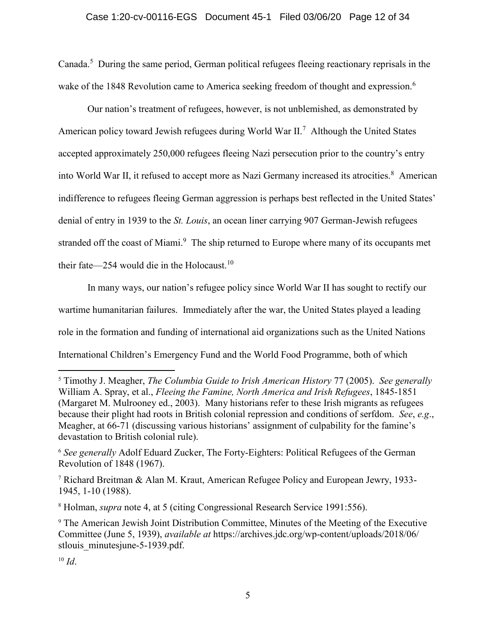Canada.<sup>5</sup> During the same period, German political refugees fleeing reactionary reprisals in the wake of the 1848 Revolution came to America seeking freedom of thought and expression.<sup>6</sup>

Our nation's treatment of refugees, however, is not unblemished, as demonstrated by American policy toward Jewish refugees during World War II.<sup>7</sup> Although the United States accepted approximately 250,000 refugees fleeing Nazi persecution prior to the country's entry into World War II, it refused to accept more as Nazi Germany increased its atrocities.<sup>8</sup> American indifference to refugees fleeing German aggression is perhaps best reflected in the United States' denial of entry in 1939 to the *St. Louis*, an ocean liner carrying 907 German-Jewish refugees stranded off the coast of Miami.<sup>9</sup> The ship returned to Europe where many of its occupants met their fate—254 would die in the Holocaust.<sup>10</sup>

In many ways, our nation's refugee policy since World War II has sought to rectify our wartime humanitarian failures. Immediately after the war, the United States played a leading role in the formation and funding of international aid organizations such as the United Nations International Children's Emergency Fund and the World Food Programme, both of which

<span id="page-11-4"></span><span id="page-11-3"></span> $\overline{a}$ <sup>5</sup> Timothy J. Meagher, *The Columbia Guide to Irish American History* 77 (2005). *See generally* William A. Spray, et al., *Fleeing the Famine, North America and Irish Refugees*, 1845-1851 (Margaret M. Mulrooney ed., 2003). Many historians refer to these Irish migrants as refugees because their plight had roots in British colonial repression and conditions of serfdom. *See*, *e.g*., Meagher, at 66-71 (discussing various historians' assignment of culpability for the famine's devastation to British colonial rule).

<span id="page-11-0"></span><sup>6</sup> *See generally* Adolf Eduard Zucker, The Forty-Eighters: Political Refugees of the German Revolution of 1848 (1967).

<span id="page-11-2"></span><sup>7</sup> Richard Breitman & Alan M. Kraut, American Refugee Policy and European Jewry, 1933- 1945, 1-10 (1988).

<sup>8</sup> Holman, *supra* note 4, at 5 (citing Congressional Research Service 1991:556).

<span id="page-11-1"></span><sup>9</sup> The American Jewish Joint Distribution Committee, Minutes of the Meeting of the Executive Committee (June 5, 1939), *available at* https://archives.jdc.org/wp-content/uploads/2018/06/ stlouis\_minutesjune-5-1939.pdf.

<sup>10</sup> *Id*.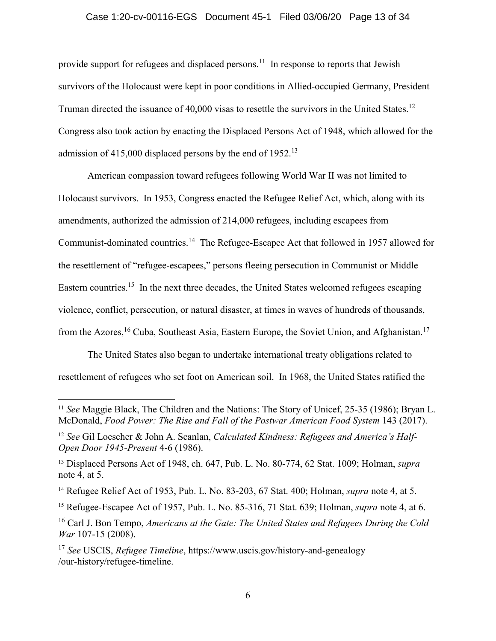## Case 1:20-cv-00116-EGS Document 45-1 Filed 03/06/20 Page 13 of 34

provide support for refugees and displaced persons.<sup>11</sup> In response to reports that Jewish survivors of the Holocaust were kept in poor conditions in Allied-occupied Germany, President Truman directed the issuance of 40,000 visas to resettle the survivors in the United States.<sup>12</sup> Congress also took action by enacting the Displaced Persons Act of 1948, which allowed for the admission of 415,000 displaced persons by the end of  $1952<sup>13</sup>$ 

American compassion toward refugees following World War II was not limited to Holocaust survivors. In 1953, Congress enacted the Refugee Relief Act, which, along with its amendments, authorized the admission of 214,000 refugees, including escapees from Communist-dominated countries.<sup>14</sup> The Refugee-Escapee Act that followed in 1957 allowed for the resettlement of "refugee-escapees," persons fleeing persecution in Communist or Middle Eastern countries.<sup>15</sup> In the next three decades, the United States welcomed refugees escaping violence, conflict, persecution, or natural disaster, at times in waves of hundreds of thousands, from the Azores,<sup>16</sup> Cuba, Southeast Asia, Eastern Europe, the Soviet Union, and Afghanistan.<sup>17</sup>

The United States also began to undertake international treaty obligations related to resettlement of refugees who set foot on American soil. In 1968, the United States ratified the

<span id="page-12-6"></span><span id="page-12-3"></span><sup>11</sup> *See* Maggie Black, The Children and the Nations: The Story of Unicef, 25-35 (1986); Bryan L. McDonald, *Food Power: The Rise and Fall of the Postwar American Food System* 143 (2017).

<span id="page-12-5"></span><sup>12</sup> *See* Gil Loescher & John A. Scanlan, *Calculated Kindness: Refugees and America's Half-Open Door 1945-Present* 4-6 (1986).

<span id="page-12-0"></span><sup>13</sup> Displaced Persons Act of 1948, ch. 647, Pub. L. No. 80-774, 62 Stat. 1009; Holman, *supra* note 4, at 5.

<span id="page-12-2"></span><sup>14</sup> Refugee Relief Act of 1953, Pub. L. No. 83-203, 67 Stat. 400; Holman, *supra* note 4, at 5.

<span id="page-12-1"></span><sup>15</sup> Refugee-Escapee Act of 1957, Pub. L. No. 85-316, 71 Stat. 639; Holman, *supra* note 4, at 6.

<span id="page-12-4"></span><sup>16</sup> Carl J. Bon Tempo, *Americans at the Gate: The United States and Refugees During the Cold War* 107-15 (2008).

<span id="page-12-7"></span><sup>17</sup> *See* USCIS, *Refugee Timeline*, https://www.uscis.gov/history-and-genealogy /our-history/refugee-timeline.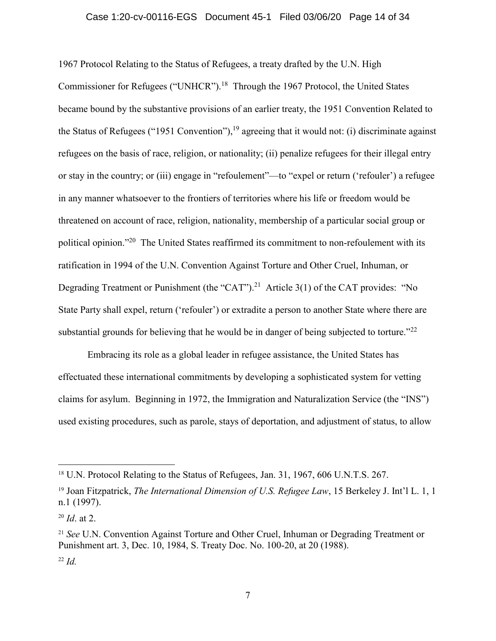#### Case 1:20-cv-00116-EGS Document 45-1 Filed 03/06/20 Page 14 of 34

1967 Protocol Relating to the Status of Refugees, a treaty drafted by the U.N. High Commissioner for Refugees ("UNHCR").<sup>18</sup> Through the 1967 Protocol, the United States became bound by the substantive provisions of an earlier treaty, the 1951 Convention Related to the Status of Refugees ("1951 Convention"), <sup>19</sup> agreeing that it would not: (i) discriminate against refugees on the basis of race, religion, or nationality; (ii) penalize refugees for their illegal entry or stay in the country; or (iii) engage in "refoulement"—to "expel or return ('refouler') a refugee in any manner whatsoever to the frontiers of territories where his life or freedom would be threatened on account of race, religion, nationality, membership of a particular social group or political opinion."<sup>20</sup> The United States reaffirmed its commitment to non-refoulement with its ratification in 1994 of the U.N. Convention Against Torture and Other Cruel, Inhuman, or Degrading Treatment or Punishment (the "CAT").<sup>21</sup> Article 3(1) of the CAT provides: "No State Party shall expel, return ('refouler') or extradite a person to another State where there are substantial grounds for believing that he would be in danger of being subjected to torture."<sup>22</sup>

Embracing its role as a global leader in refugee assistance, the United States has effectuated these international commitments by developing a sophisticated system for vetting claims for asylum. Beginning in 1972, the Immigration and Naturalization Service (the "INS") used existing procedures, such as parole, stays of deportation, and adjustment of status, to allow

<sup>&</sup>lt;sup>18</sup> U.N. Protocol Relating to the Status of Refugees, Jan. 31, 1967, 606 U.N.T.S. 267.

<span id="page-13-1"></span><sup>19</sup> Joan Fitzpatrick, *The International Dimension of U.S. Refugee Law*, 15 Berkeley J. Int'l L. 1, 1 n.1 (1997).

<sup>20</sup> *Id*. at 2.

<span id="page-13-0"></span><sup>21</sup> *See* U.N. Convention Against Torture and Other Cruel, Inhuman or Degrading Treatment or Punishment art. 3, Dec. 10, 1984, S. Treaty Doc. No. 100-20, at 20 (1988). <sup>22</sup> *Id.*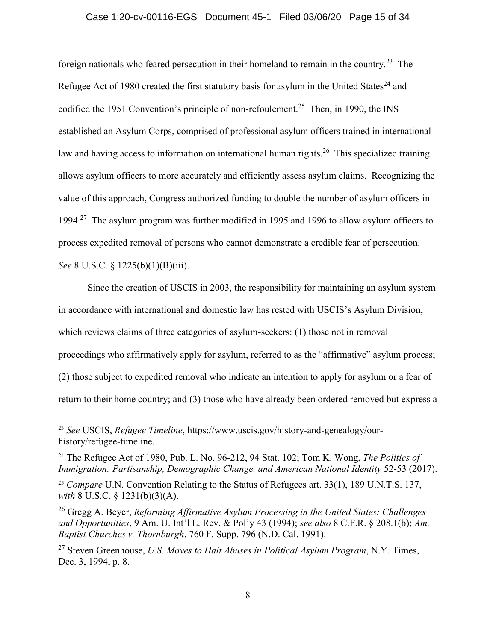## Case 1:20-cv-00116-EGS Document 45-1 Filed 03/06/20 Page 15 of 34

<span id="page-14-2"></span>foreign nationals who feared persecution in their homeland to remain in the country.<sup>23</sup> The Refugee Act of 1980 created the first statutory basis for asylum in the United States<sup>24</sup> and codified the 1951 Convention's principle of non-refoulement.<sup>25</sup> Then, in 1990, the INS established an Asylum Corps, comprised of professional asylum officers trained in international law and having access to information on international human rights.<sup>26</sup> This specialized training allows asylum officers to more accurately and efficiently assess asylum claims. Recognizing the value of this approach, Congress authorized funding to double the number of asylum officers in 1994.<sup>27</sup> The asylum program was further modified in 1995 and 1996 to allow asylum officers to process expedited removal of persons who cannot demonstrate a credible fear of persecution.

<span id="page-14-0"></span>*See* 8 U.S.C. § 1225(b)(1)(B)(iii).

 $\overline{a}$ 

Since the creation of USCIS in 2003, the responsibility for maintaining an asylum system in accordance with international and domestic law has rested with USCIS's Asylum Division, which reviews claims of three categories of asylum-seekers: (1) those not in removal proceedings who affirmatively apply for asylum, referred to as the "affirmative" asylum process; (2) those subject to expedited removal who indicate an intention to apply for asylum or a fear of return to their home country; and (3) those who have already been ordered removed but express a

<span id="page-14-7"></span><sup>23</sup> *See* USCIS, *Refugee Timeline*, https://www.uscis.gov/history-and-genealogy/ourhistory/refugee-timeline.

<span id="page-14-6"></span><sup>24</sup> The Refugee Act of 1980, Pub. L. No. 96-212, 94 Stat. 102; Tom K. Wong, *The Politics of Immigration: Partisanship, Demographic Change, and American National Identity* 52-53 (2017).

<span id="page-14-1"></span><sup>25</sup> *Compare* U.N. Convention Relating to the Status of Refugees art. 33(1), 189 U.N.T.S. 137, *with* 8 U.S.C. § 1231(b)(3)(A).

<span id="page-14-4"></span><span id="page-14-3"></span><sup>26</sup> Gregg A. Beyer, *Reforming Affirmative Asylum Processing in the United States: Challenges and Opportunities*, 9 Am. U. Int'l L. Rev. & Pol'y 43 (1994); *see also* 8 C.F.R. § 208.1(b); *Am. Baptist Churches v. Thornburgh*, 760 F. Supp. 796 (N.D. Cal. 1991).

<span id="page-14-5"></span><sup>27</sup> Steven Greenhouse, *U.S. Moves to Halt Abuses in Political Asylum Program*, N.Y. Times, Dec. 3, 1994, p. 8.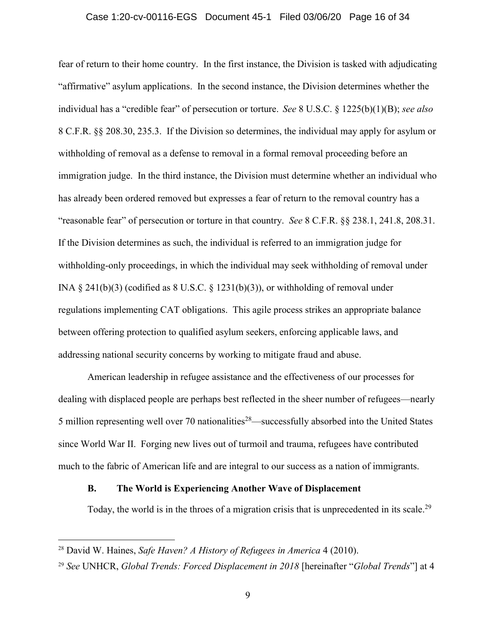### <span id="page-15-1"></span>Case 1:20-cv-00116-EGS Document 45-1 Filed 03/06/20 Page 16 of 34

<span id="page-15-5"></span><span id="page-15-4"></span><span id="page-15-3"></span>fear of return to their home country. In the first instance, the Division is tasked with adjudicating "affirmative" asylum applications. In the second instance, the Division determines whether the individual has a "credible fear" of persecution or torture. *See* 8 U.S.C. § 1225(b)(1)(B); *see also*  8 C.F.R. §§ 208.30, 235.3. If the Division so determines, the individual may apply for asylum or withholding of removal as a defense to removal in a formal removal proceeding before an immigration judge. In the third instance, the Division must determine whether an individual who has already been ordered removed but expresses a fear of return to the removal country has a "reasonable fear" of persecution or torture in that country. *See* 8 C.F.R. §§ 238.1, 241.8, 208.31. If the Division determines as such, the individual is referred to an immigration judge for withholding-only proceedings, in which the individual may seek withholding of removal under INA  $\S$  241(b)(3) (codified as  $\S$  U.S.C.  $\S$  1231(b)(3)), or withholding of removal under regulations implementing CAT obligations. This agile process strikes an appropriate balance between offering protection to qualified asylum seekers, enforcing applicable laws, and addressing national security concerns by working to mitigate fraud and abuse.

<span id="page-15-2"></span>American leadership in refugee assistance and the effectiveness of our processes for dealing with displaced people are perhaps best reflected in the sheer number of refugees—nearly 5 million representing well over 70 nationalities<sup>28</sup>—successfully absorbed into the United States since World War II. Forging new lives out of turmoil and trauma, refugees have contributed much to the fabric of American life and are integral to our success as a nation of immigrants.

## <span id="page-15-0"></span>**B. The World is Experiencing Another Wave of Displacement**

Today, the world is in the throes of a migration crisis that is unprecedented in its scale.<sup>29</sup>

<span id="page-15-6"></span><sup>28</sup> David W. Haines, *Safe Haven? A History of Refugees in America* 4 (2010).

<span id="page-15-7"></span><sup>29</sup> *See* UNHCR, *Global Trends: Forced Displacement in 2018* [hereinafter "*Global Trends*"] at 4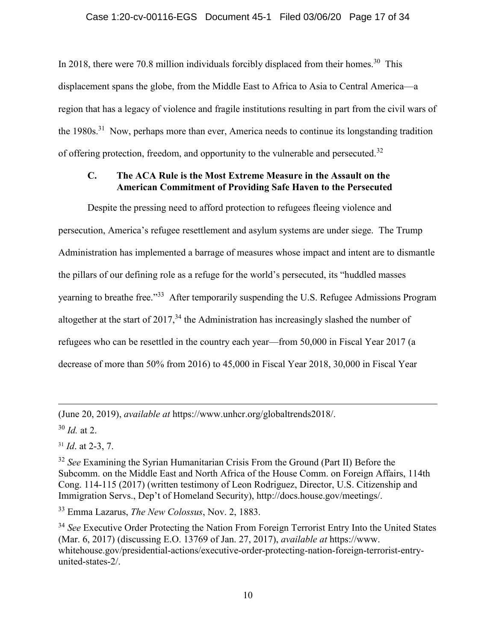In 2018, there were 70.8 million individuals forcibly displaced from their homes.<sup>30</sup> This displacement spans the globe, from the Middle East to Africa to Asia to Central America—a region that has a legacy of violence and fragile institutions resulting in part from the civil wars of the 1980s.<sup>31</sup> Now, perhaps more than ever, America needs to continue its longstanding tradition of offering protection, freedom, and opportunity to the vulnerable and persecuted.<sup>32</sup>

# <span id="page-16-0"></span>**C. The ACA Rule is the Most Extreme Measure in the Assault on the American Commitment of Providing Safe Haven to the Persecuted**

Despite the pressing need to afford protection to refugees fleeing violence and persecution, America's refugee resettlement and asylum systems are under siege. The Trump Administration has implemented a barrage of measures whose impact and intent are to dismantle the pillars of our defining role as a refuge for the world's persecuted, its "huddled masses yearning to breathe free."<sup>33</sup> After temporarily suspending the U.S. Refugee Admissions Program altogether at the start of  $2017<sup>34</sup>$ , the Administration has increasingly slashed the number of refugees who can be resettled in the country each year—from 50,000 in Fiscal Year 2017 (a decrease of more than 50% from 2016) to 45,000 in Fiscal Year 2018, 30,000 in Fiscal Year

(June 20, 2019), *available at* https://www.unhcr.org/globaltrends2018/.

<sup>30</sup> *Id.* at 2.

 $\overline{a}$ 

<span id="page-16-4"></span><sup>31</sup> *Id*. at 2-3, 7.

<span id="page-16-1"></span><sup>33</sup> Emma Lazarus, *The New Colossus*, Nov. 2, 1883.

<span id="page-16-3"></span><sup>34</sup> See Executive Order Protecting the Nation From Foreign Terrorist Entry Into the United States (Mar. 6, 2017) (discussing E.O. 13769 of Jan. 27, 2017), *available at* https://www. whitehouse.gov/presidential-actions/executive-order-protecting-nation-foreign-terrorist-entryunited-states-2/.

<span id="page-16-2"></span><sup>32</sup> *See* Examining the Syrian Humanitarian Crisis From the Ground (Part II) Before the Subcomm. on the Middle East and North Africa of the House Comm. on Foreign Affairs, 114th Cong. 114-115 (2017) (written testimony of Leon Rodriguez, Director, U.S. Citizenship and Immigration Servs., Dep't of Homeland Security), http://docs.house.gov/meetings/.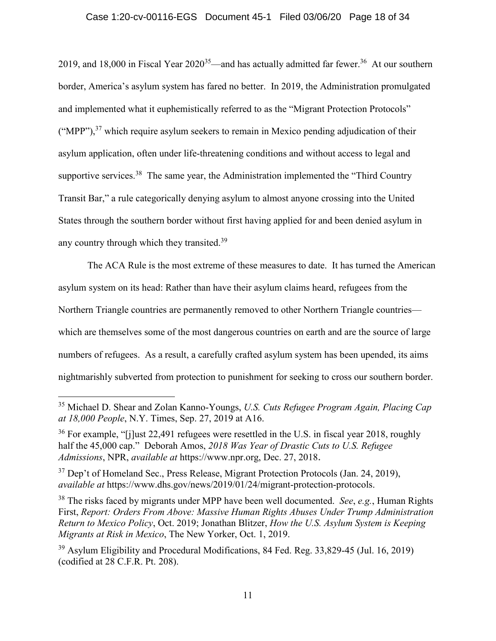## Case 1:20-cv-00116-EGS Document 45-1 Filed 03/06/20 Page 18 of 34

2019, and 18,000 in Fiscal Year  $2020^{35}$ —and has actually admitted far fewer.<sup>36</sup> At our southern border, America's asylum system has fared no better. In 2019, the Administration promulgated and implemented what it euphemistically referred to as the "Migrant Protection Protocols"  $("MPP")$ ,<sup>37</sup> which require asylum seekers to remain in Mexico pending adjudication of their asylum application, often under life-threatening conditions and without access to legal and supportive services.<sup>38</sup> The same year, the Administration implemented the "Third Country Transit Bar," a rule categorically denying asylum to almost anyone crossing into the United States through the southern border without first having applied for and been denied asylum in any country through which they transited.<sup>39</sup>

The ACA Rule is the most extreme of these measures to date. It has turned the American asylum system on its head: Rather than have their asylum claims heard, refugees from the Northern Triangle countries are permanently removed to other Northern Triangle countries which are themselves some of the most dangerous countries on earth and are the source of large numbers of refugees. As a result, a carefully crafted asylum system has been upended, its aims nightmarishly subverted from protection to punishment for seeking to cross our southern border.

<span id="page-17-5"></span><sup>35</sup> Michael D. Shear and Zolan Kanno-Youngs, *U.S. Cuts Refugee Program Again, Placing Cap at 18,000 People*, N.Y. Times, Sep. 27, 2019 at A16.

<span id="page-17-1"></span><sup>&</sup>lt;sup>36</sup> For example, "[j]ust 22,491 refugees were resettled in the U.S. in fiscal year 2018, roughly half the 45,000 cap." Deborah Amos, *2018 Was Year of Drastic Cuts to U.S. Refugee Admissions*, NPR, *available at* https://www.npr.org, Dec. 27, 2018.

<span id="page-17-2"></span><sup>&</sup>lt;sup>37</sup> Dep't of Homeland Sec., Press Release, Migrant Protection Protocols (Jan. 24, 2019), *available at* https://www.dhs.gov/news/2019/01/24/migrant-protection-protocols.

<span id="page-17-4"></span><span id="page-17-3"></span><sup>38</sup> The risks faced by migrants under MPP have been well documented. *See*, *e.g.*, Human Rights First, *Report: Orders From Above: Massive Human Rights Abuses Under Trump Administration Return to Mexico Policy*, Oct. 2019; Jonathan Blitzer, *How the U.S. Asylum System is Keeping Migrants at Risk in Mexico*, The New Yorker, Oct. 1, 2019.

<span id="page-17-0"></span><sup>&</sup>lt;sup>39</sup> Asylum Eligibility and Procedural Modifications, 84 Fed. Reg. 33,829-45 (Jul. 16, 2019) (codified at 28 C.F.R. Pt. 208).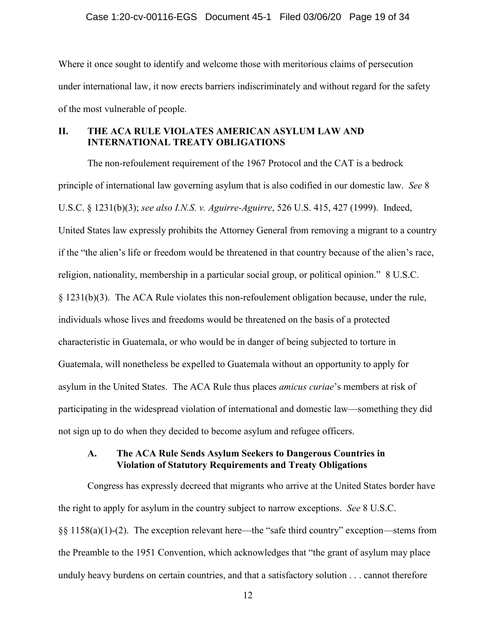Where it once sought to identify and welcome those with meritorious claims of persecution under international law, it now erects barriers indiscriminately and without regard for the safety of the most vulnerable of people.

# <span id="page-18-0"></span>**II. THE ACA RULE VIOLATES AMERICAN ASYLUM LAW AND INTERNATIONAL TREATY OBLIGATIONS**

<span id="page-18-4"></span><span id="page-18-2"></span>The non-refoulement requirement of the 1967 Protocol and the CAT is a bedrock principle of international law governing asylum that is also codified in our domestic law. *See* 8 U.S.C. § 1231(b)(3); *see also I.N.S. v. Aguirre-Aguirre*, 526 U.S. 415, 427 (1999). Indeed, United States law expressly prohibits the Attorney General from removing a migrant to a country if the "the alien's life or freedom would be threatened in that country because of the alien's race, religion, nationality, membership in a particular social group, or political opinion." 8 U.S.C. § 1231(b)(3). The ACA Rule violates this non-refoulement obligation because, under the rule, individuals whose lives and freedoms would be threatened on the basis of a protected characteristic in Guatemala, or who would be in danger of being subjected to torture in Guatemala, will nonetheless be expelled to Guatemala without an opportunity to apply for asylum in the United States. The ACA Rule thus places *amicus curiae*'s members at risk of participating in the widespread violation of international and domestic law—something they did not sign up to do when they decided to become asylum and refugee officers.

# <span id="page-18-3"></span><span id="page-18-1"></span>**A. The ACA Rule Sends Asylum Seekers to Dangerous Countries in Violation of Statutory Requirements and Treaty Obligations**

Congress has expressly decreed that migrants who arrive at the United States border have the right to apply for asylum in the country subject to narrow exceptions. *See* 8 U.S.C. §§ 1158(a)(1)-(2). The exception relevant here—the "safe third country" exception—stems from the Preamble to the 1951 Convention, which acknowledges that "the grant of asylum may place unduly heavy burdens on certain countries, and that a satisfactory solution . . . cannot therefore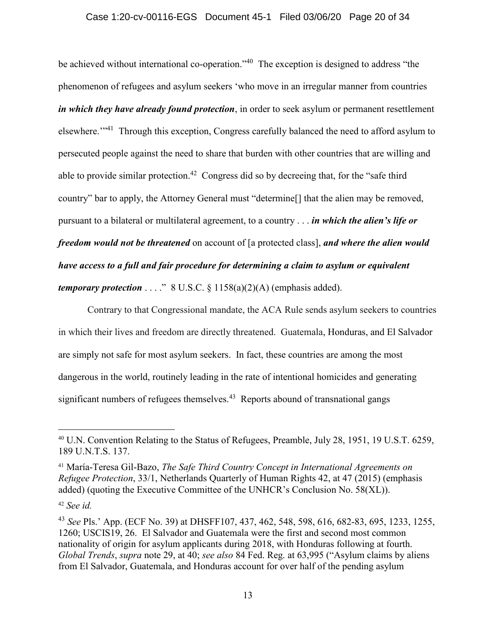## Case 1:20-cv-00116-EGS Document 45-1 Filed 03/06/20 Page 20 of 34

be achieved without international co-operation."<sup>40</sup> The exception is designed to address "the phenomenon of refugees and asylum seekers 'who move in an irregular manner from countries *in which they have already found protection*, in order to seek asylum or permanent resettlement elsewhere."<sup>41</sup> Through this exception, Congress carefully balanced the need to afford asylum to persecuted people against the need to share that burden with other countries that are willing and able to provide similar protection.<sup>42</sup> Congress did so by decreeing that, for the "safe third country" bar to apply, the Attorney General must "determine[] that the alien may be removed, pursuant to a bilateral or multilateral agreement, to a country . . . *in which the alien's life or freedom would not be threatened* on account of [a protected class], *and where the alien would have access to a full and fair procedure for determining a claim to asylum or equivalent temporary protection*  $\dots$ ." 8 U.S.C. § 1158(a)(2)(A) (emphasis added).

<span id="page-19-0"></span>Contrary to that Congressional mandate, the ACA Rule sends asylum seekers to countries in which their lives and freedom are directly threatened. Guatemala, Honduras, and El Salvador are simply not safe for most asylum seekers. In fact, these countries are among the most dangerous in the world, routinely leading in the rate of intentional homicides and generating significant numbers of refugees themselves.<sup>43</sup> Reports abound of transnational gangs

<span id="page-19-1"></span><sup>40</sup> U.N. Convention Relating to the Status of Refugees, Preamble, July 28, 1951, 19 U.S.T. 6259, 189 U.N.T.S. 137.

<span id="page-19-2"></span><sup>41</sup> María-Teresa Gil-Bazo, *The Safe Third Country Concept in International Agreements on Refugee Protection*, 33/1, Netherlands Quarterly of Human Rights 42, at 47 (2015) (emphasis added) (quoting the Executive Committee of the UNHCR's Conclusion No. 58(XL)).

<sup>42</sup> *See id.*

<sup>43</sup> *See* Pls.' App. (ECF No. 39) at DHSFF107, 437, 462, 548, 598, 616, 682-83, 695, 1233, 1255, 1260; USCIS19, 26. El Salvador and Guatemala were the first and second most common nationality of origin for asylum applicants during 2018, with Honduras following at fourth. *Global Trends*, *supra* note 29, at 40; *see also* 84 Fed. Reg. at 63,995 ("Asylum claims by aliens from El Salvador, Guatemala, and Honduras account for over half of the pending asylum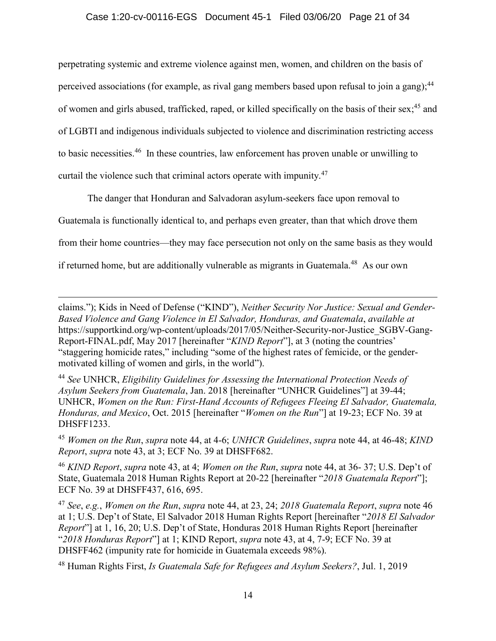perpetrating systemic and extreme violence against men, women, and children on the basis of perceived associations (for example, as rival gang members based upon refusal to join a gang);<sup>44</sup> of women and girls abused, trafficked, raped, or killed specifically on the basis of their sex;<sup>45</sup> and of LGBTI and indigenous individuals subjected to violence and discrimination restricting access to basic necessities.<sup>46</sup> In these countries, law enforcement has proven unable or unwilling to curtail the violence such that criminal actors operate with impunity.<sup>47</sup>

The danger that Honduran and Salvadoran asylum-seekers face upon removal to Guatemala is functionally identical to, and perhaps even greater, than that which drove them from their home countries—they may face persecution not only on the same basis as they would if returned home, but are additionally vulnerable as migrants in Guatemala.<sup>48</sup> As our own

 $\overline{a}$ 

<span id="page-20-1"></span><sup>44</sup> *See* UNHCR, *Eligibility Guidelines for Assessing the International Protection Needs of Asylum Seekers from Guatemala*, Jan. 2018 [hereinafter "UNHCR Guidelines"] at 39-44; UNHCR, *Women on the Run: First-Hand Accounts of Refugees Fleeing El Salvador, Guatemala, Honduras, and Mexico*, Oct. 2015 [hereinafter "*Women on the Run*"] at 19-23; ECF No. 39 at DHSFF1233.

<span id="page-20-0"></span><sup>45</sup> *Women on the Run*, *supra* note 44, at 4-6; *UNHCR Guidelines*, *supra* note 44, at 46-48; *KIND Report*, *supra* note 43, at 3; ECF No. 39 at DHSFF682.

<sup>46</sup> *KIND Report*, *supra* note 43, at 4; *Women on the Run*, *supra* note 44, at 36- 37; U.S. Dep't of State, Guatemala 2018 Human Rights Report at 20-22 [hereinafter "*2018 Guatemala Report*"]; ECF No. 39 at DHSFF437, 616, 695.

<sup>47</sup> *See*, *e.g.*, *Women on the Run*, *supra* note 44, at 23, 24; *2018 Guatemala Report*, *supra* note 46 at 1; U.S. Dep't of State, El Salvador 2018 Human Rights Report [hereinafter "*2018 El Salvador Report*"] at 1, 16, 20; U.S. Dep't of State, Honduras 2018 Human Rights Report [hereinafter "*2018 Honduras Report*"] at 1; KIND Report, *supra* note 43, at 4, 7-9; ECF No. 39 at DHSFF462 (impunity rate for homicide in Guatemala exceeds 98%).

<sup>48</sup> Human Rights First, *Is Guatemala Safe for Refugees and Asylum Seekers?*, Jul. 1, 2019

claims."); Kids in Need of Defense ("KIND"), *Neither Security Nor Justice: Sexual and Gender-Based Violence and Gang Violence in El Salvador, Honduras, and Guatemala*, *available at*  https://supportkind.org/wp-content/uploads/2017/05/Neither-Security-nor-Justice\_SGBV-Gang-Report-FINAL.pdf, May 2017 [hereinafter "*KIND Report*"], at 3 (noting the countries' "staggering homicide rates," including "some of the highest rates of femicide, or the gendermotivated killing of women and girls, in the world").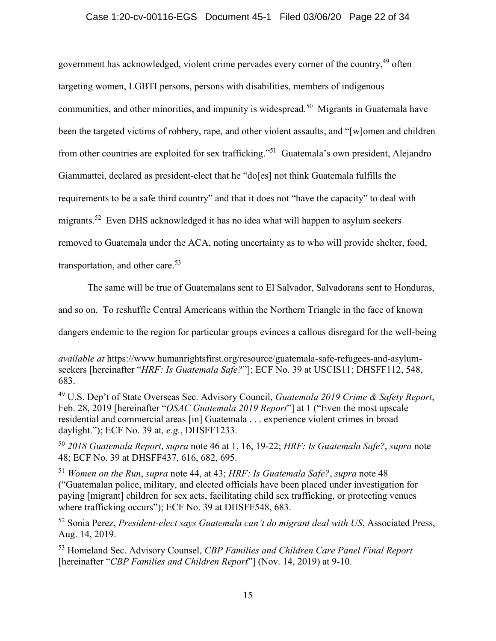## Case 1:20-cv-00116-EGS Document 45-1 Filed 03/06/20 Page 22 of 34

government has acknowledged, violent crime pervades every corner of the country, <sup>49</sup> often targeting women, LGBTI persons, persons with disabilities, members of indigenous communities, and other minorities, and impunity is widespread.<sup>50</sup> Migrants in Guatemala have been the targeted victims of robbery, rape, and other violent assaults, and "[w]omen and children from other countries are exploited for sex trafficking."<sup>51</sup> Guatemala's own president, Alejandro Giammattei, declared as president-elect that he "do[es] not think Guatemala fulfills the requirements to be a safe third country" and that it does not "have the capacity" to deal with migrants.<sup>52</sup> Even DHS acknowledged it has no idea what will happen to asylum seekers removed to Guatemala under the ACA, noting uncertainty as to who will provide shelter, food, transportation, and other care.<sup>53</sup>

The same will be true of Guatemalans sent to El Salvador, Salvadorans sent to Honduras,

and so on. To reshuffle Central Americans within the Northern Triangle in the face of known

dangers endemic to the region for particular groups evinces a callous disregard for the well-being

 $\overline{a}$ 

<sup>49</sup> U.S. Dep't of State Overseas Sec. Advisory Council, *Guatemala 2019 Crime & Safety Report*, Feb. 28, 2019 [hereinafter "*OSAC Guatemala 2019 Report*"] at 1 ("Even the most upscale residential and commercial areas [in] Guatemala . . . experience violent crimes in broad daylight."); ECF No. 39 at, *e.g.*, DHSFF1233.

<sup>50</sup> *2018 Guatemala Report*, *supra* note 46 at 1, 16, 19-22; *HRF: Is Guatemala Safe?*, *supra* note 48; ECF No. 39 at DHSFF437, 616, 682, 695.

<sup>51</sup> *Women on the Run*, *supra* note 44, at 43; *HRF: Is Guatemala Safe?*, *supra* note 48 ("Guatemalan police, military, and elected officials have been placed under investigation for paying [migrant] children for sex acts, facilitating child sex trafficking, or protecting venues where trafficking occurs"); ECF No. 39 at DHSFF548, 683.

<span id="page-21-1"></span><sup>52</sup> Sonia Perez, *President-elect says Guatemala can't do migrant deal with US*, Associated Press, Aug. 14, 2019.

<span id="page-21-0"></span><sup>53</sup> Homeland Sec. Advisory Counsel, *CBP Families and Children Care Panel Final Report* [hereinafter "*CBP Families and Children Report*"] (Nov. 14, 2019) at 9-10.

*available at* https://www.humanrightsfirst.org/resource/guatemala-safe-refugees-and-asylumseekers [hereinafter "*HRF: Is Guatemala Safe?*"]; ECF No. 39 at USCIS11; DHSFF112, 548, 683.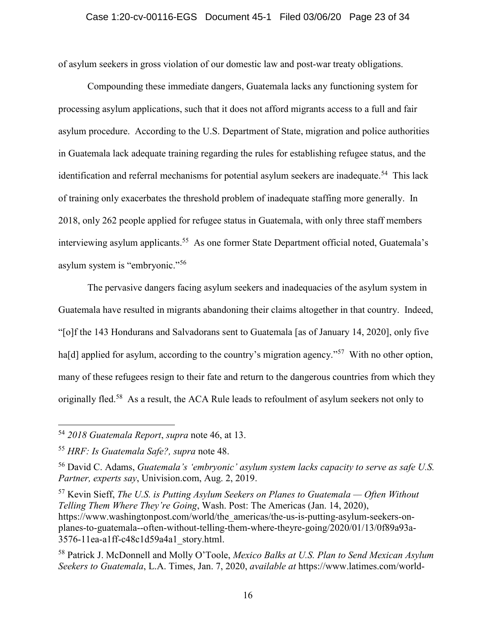of asylum seekers in gross violation of our domestic law and post-war treaty obligations.

Compounding these immediate dangers, Guatemala lacks any functioning system for processing asylum applications, such that it does not afford migrants access to a full and fair asylum procedure. According to the U.S. Department of State, migration and police authorities in Guatemala lack adequate training regarding the rules for establishing refugee status, and the identification and referral mechanisms for potential asylum seekers are inadequate.<sup>54</sup> This lack of training only exacerbates the threshold problem of inadequate staffing more generally. In 2018, only 262 people applied for refugee status in Guatemala, with only three staff members interviewing asylum applicants.<sup>55</sup> As one former State Department official noted, Guatemala's asylum system is "embryonic."<sup>56</sup>

The pervasive dangers facing asylum seekers and inadequacies of the asylum system in Guatemala have resulted in migrants abandoning their claims altogether in that country. Indeed, "[o]f the 143 Hondurans and Salvadorans sent to Guatemala [as of January 14, 2020], only five ha<sup>[d]</sup> applied for asylum, according to the country's migration agency."<sup>57</sup> With no other option, many of these refugees resign to their fate and return to the dangerous countries from which they originally fled.<sup>58</sup> As a result, the ACA Rule leads to refoulment of asylum seekers not only to

 $\overline{a}$ 

<span id="page-22-1"></span><sup>57</sup> Kevin Sieff, *The U.S. is Putting Asylum Seekers on Planes to Guatemala — Often Without Telling Them Where They're Going*, Wash. Post: The Americas (Jan. 14, 2020), https://www.washingtonpost.com/world/the\_americas/the-us-is-putting-asylum-seekers-onplanes-to-guatemala--often-without-telling-them-where-theyre-going/2020/01/13/0f89a93a-3576-11ea-a1ff-c48c1d59a4a1\_story.html.

<span id="page-22-2"></span><sup>58</sup> Patrick J. McDonnell and Molly O'Toole, *Mexico Balks at U.S. Plan to Send Mexican Asylum Seekers to Guatemala*, L.A. Times, Jan. 7, 2020, *available at* https://www.latimes.com/world-

<sup>54</sup> *2018 Guatemala Report*, *supra* note 46, at 13.

<sup>55</sup> *HRF: Is Guatemala Safe?, supra* note 48.

<span id="page-22-0"></span><sup>56</sup> David C. Adams, *Guatemala's 'embryonic' asylum system lacks capacity to serve as safe U.S. Partner, experts say*, Univision.com, Aug. 2, 2019.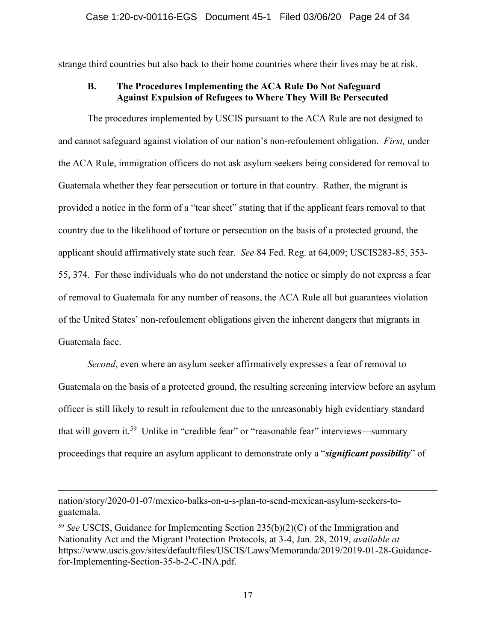<span id="page-23-0"></span>strange third countries but also back to their home countries where their lives may be at risk.

# **B. The Procedures Implementing the ACA Rule Do Not Safeguard Against Expulsion of Refugees to Where They Will Be Persecuted**

The procedures implemented by USCIS pursuant to the ACA Rule are not designed to and cannot safeguard against violation of our nation's non-refoulement obligation. *First,* under the ACA Rule, immigration officers do not ask asylum seekers being considered for removal to Guatemala whether they fear persecution or torture in that country. Rather, the migrant is provided a notice in the form of a "tear sheet" stating that if the applicant fears removal to that country due to the likelihood of torture or persecution on the basis of a protected ground, the applicant should affirmatively state such fear. *See* 84 Fed. Reg. at 64,009; USCIS283-85, 353- 55, 374. For those individuals who do not understand the notice or simply do not express a fear of removal to Guatemala for any number of reasons, the ACA Rule all but guarantees violation of the United States' non-refoulement obligations given the inherent dangers that migrants in Guatemala face.

*Second*, even where an asylum seeker affirmatively expresses a fear of removal to Guatemala on the basis of a protected ground, the resulting screening interview before an asylum officer is still likely to result in refoulement due to the unreasonably high evidentiary standard that will govern it.<sup>59</sup> Unlike in "credible fear" or "reasonable fear" interviews—summary proceedings that require an asylum applicant to demonstrate only a "*significant possibility*" of

nation/story/2020-01-07/mexico-balks-on-u-s-plan-to-send-mexican-asylum-seekers-toguatemala.

<span id="page-23-1"></span><sup>59</sup> *See* USCIS, Guidance for Implementing Section 235(b)(2)(C) of the Immigration and Nationality Act and the Migrant Protection Protocols, at 3-4, Jan. 28, 2019, *available at*  https://www.uscis.gov/sites/default/files/USCIS/Laws/Memoranda/2019/2019-01-28-Guidancefor-Implementing-Section-35-b-2-C-INA.pdf.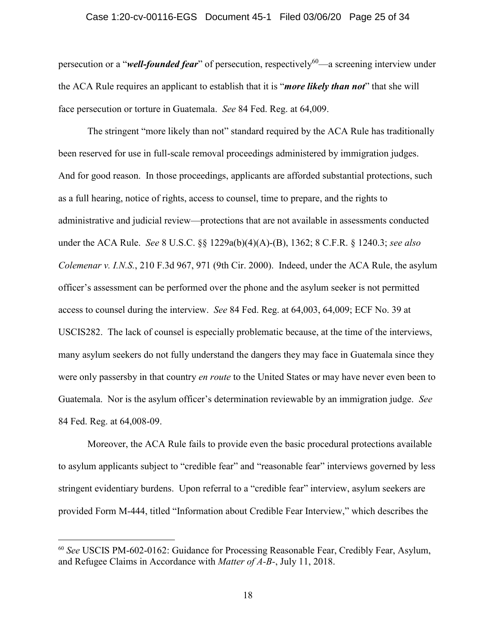### Case 1:20-cv-00116-EGS Document 45-1 Filed 03/06/20 Page 25 of 34

persecution or a "*well-founded fear*" of persecution, respectively<sup>60</sup>—a screening interview under the ACA Rule requires an applicant to establish that it is "*more likely than not*" that she will face persecution or torture in Guatemala. *See* 84 Fed. Reg. at 64,009.

<span id="page-24-2"></span><span id="page-24-1"></span><span id="page-24-0"></span>The stringent "more likely than not" standard required by the ACA Rule has traditionally been reserved for use in full-scale removal proceedings administered by immigration judges. And for good reason. In those proceedings, applicants are afforded substantial protections, such as a full hearing, notice of rights, access to counsel, time to prepare, and the rights to administrative and judicial review—protections that are not available in assessments conducted under the ACA Rule. *See* 8 U.S.C. §§ 1229a(b)(4)(A)-(B), 1362; 8 C.F.R. § 1240.3; *see also Colemenar v. I.N.S.*, 210 F.3d 967, 971 (9th Cir. 2000). Indeed, under the ACA Rule, the asylum officer's assessment can be performed over the phone and the asylum seeker is not permitted access to counsel during the interview. *See* 84 Fed. Reg. at 64,003, 64,009; ECF No. 39 at USCIS282. The lack of counsel is especially problematic because, at the time of the interviews, many asylum seekers do not fully understand the dangers they may face in Guatemala since they were only passersby in that country *en route* to the United States or may have never even been to Guatemala. Nor is the asylum officer's determination reviewable by an immigration judge. *See*  84 Fed. Reg. at 64,008-09.

Moreover, the ACA Rule fails to provide even the basic procedural protections available to asylum applicants subject to "credible fear" and "reasonable fear" interviews governed by less stringent evidentiary burdens. Upon referral to a "credible fear" interview, asylum seekers are provided Form M-444, titled "Information about Credible Fear Interview," which describes the

<span id="page-24-3"></span><sup>60</sup> *See* USCIS PM-602-0162: Guidance for Processing Reasonable Fear, Credibly Fear, Asylum, and Refugee Claims in Accordance with *Matter of A-B-*, July 11, 2018.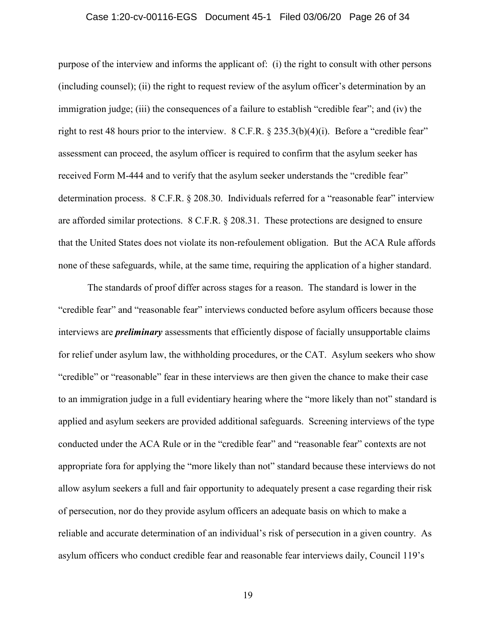### <span id="page-25-2"></span>Case 1:20-cv-00116-EGS Document 45-1 Filed 03/06/20 Page 26 of 34

purpose of the interview and informs the applicant of: (i) the right to consult with other persons (including counsel); (ii) the right to request review of the asylum officer's determination by an immigration judge; (iii) the consequences of a failure to establish "credible fear"; and (iv) the right to rest 48 hours prior to the interview. 8 C.F.R. § 235.3(b)(4)(i). Before a "credible fear" assessment can proceed, the asylum officer is required to confirm that the asylum seeker has received Form M-444 and to verify that the asylum seeker understands the "credible fear" determination process. 8 C.F.R. § 208.30. Individuals referred for a "reasonable fear" interview are afforded similar protections. 8 C.F.R. § 208.31. These protections are designed to ensure that the United States does not violate its non-refoulement obligation. But the ACA Rule affords none of these safeguards, while, at the same time, requiring the application of a higher standard.

<span id="page-25-1"></span><span id="page-25-0"></span>The standards of proof differ across stages for a reason. The standard is lower in the "credible fear" and "reasonable fear" interviews conducted before asylum officers because those interviews are *preliminary* assessments that efficiently dispose of facially unsupportable claims for relief under asylum law, the withholding procedures, or the CAT. Asylum seekers who show "credible" or "reasonable" fear in these interviews are then given the chance to make their case to an immigration judge in a full evidentiary hearing where the "more likely than not" standard is applied and asylum seekers are provided additional safeguards. Screening interviews of the type conducted under the ACA Rule or in the "credible fear" and "reasonable fear" contexts are not appropriate fora for applying the "more likely than not" standard because these interviews do not allow asylum seekers a full and fair opportunity to adequately present a case regarding their risk of persecution, nor do they provide asylum officers an adequate basis on which to make a reliable and accurate determination of an individual's risk of persecution in a given country. As asylum officers who conduct credible fear and reasonable fear interviews daily, Council 119's

19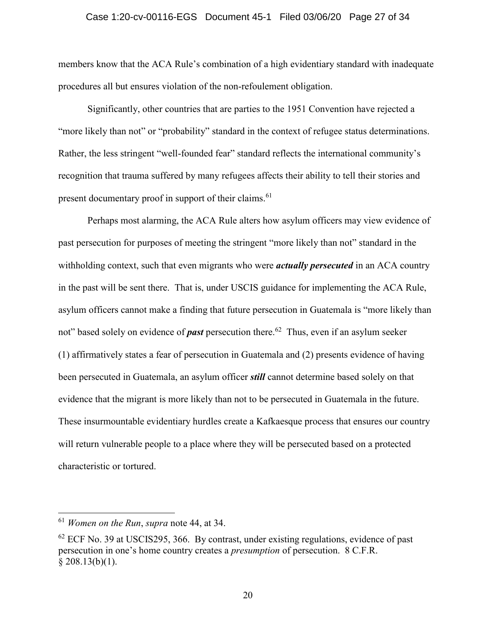### Case 1:20-cv-00116-EGS Document 45-1 Filed 03/06/20 Page 27 of 34

members know that the ACA Rule's combination of a high evidentiary standard with inadequate procedures all but ensures violation of the non-refoulement obligation.

Significantly, other countries that are parties to the 1951 Convention have rejected a "more likely than not" or "probability" standard in the context of refugee status determinations. Rather, the less stringent "well-founded fear" standard reflects the international community's recognition that trauma suffered by many refugees affects their ability to tell their stories and present documentary proof in support of their claims.<sup>61</sup>

Perhaps most alarming, the ACA Rule alters how asylum officers may view evidence of past persecution for purposes of meeting the stringent "more likely than not" standard in the withholding context, such that even migrants who were *actually persecuted* in an ACA country in the past will be sent there. That is, under USCIS guidance for implementing the ACA Rule, asylum officers cannot make a finding that future persecution in Guatemala is "more likely than not" based solely on evidence of *past* persecution there.<sup>62</sup> Thus, even if an asylum seeker (1) affirmatively states a fear of persecution in Guatemala and (2) presents evidence of having been persecuted in Guatemala, an asylum officer *still* cannot determine based solely on that evidence that the migrant is more likely than not to be persecuted in Guatemala in the future. These insurmountable evidentiary hurdles create a Kafkaesque process that ensures our country will return vulnerable people to a place where they will be persecuted based on a protected characteristic or tortured.

<sup>61</sup> *Women on the Run*, *supra* note 44, at 34.

<span id="page-26-0"></span> $62$  ECF No. 39 at USCIS295, 366. By contrast, under existing regulations, evidence of past persecution in one's home country creates a *presumption* of persecution. 8 C.F.R.  $$208.13(b)(1).$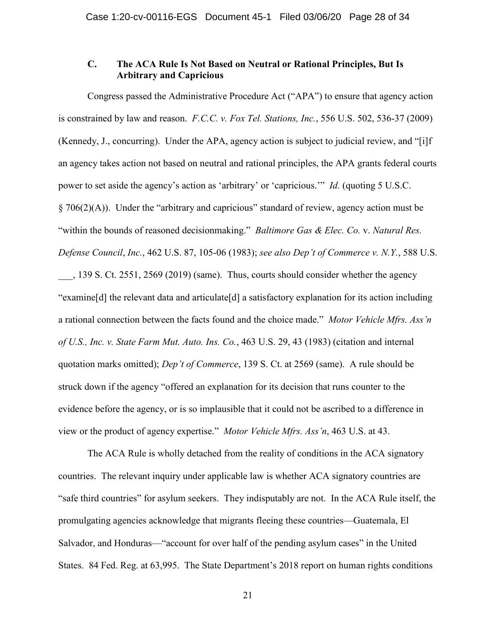# <span id="page-27-3"></span><span id="page-27-2"></span><span id="page-27-1"></span><span id="page-27-0"></span>**C. The ACA Rule Is Not Based on Neutral or Rational Principles, But Is Arbitrary and Capricious**

Congress passed the Administrative Procedure Act ("APA") to ensure that agency action is constrained by law and reason. *F.C.C. v. Fox Tel. Stations, Inc.*, 556 U.S. 502, 536-37 (2009) (Kennedy, J., concurring). Under the APA, agency action is subject to judicial review, and "[i]f an agency takes action not based on neutral and rational principles, the APA grants federal courts power to set aside the agency's action as 'arbitrary' or 'capricious.'" *Id.* (quoting 5 U.S.C. § 706(2)(A)). Under the "arbitrary and capricious" standard of review, agency action must be "within the bounds of reasoned decisionmaking." *Baltimore Gas & Elec. Co.* v. *Natural Res. Defense Council*, *Inc.*, 462 U.S. 87, 105-06 (1983); *see also Dep't of Commerce v. N.Y.*, 588 U.S. \_\_\_, 139 S. Ct. 2551, 2569 (2019) (same). Thus, courts should consider whether the agency "examine[d] the relevant data and articulate[d] a satisfactory explanation for its action including a rational connection between the facts found and the choice made." *Motor Vehicle Mfrs. Ass'n of U.S., Inc. v. State Farm Mut. Auto. Ins. Co.*, 463 U.S. 29, 43 (1983) (citation and internal quotation marks omitted); *Dep't of Commerce*, 139 S. Ct. at 2569 (same). A rule should be struck down if the agency "offered an explanation for its decision that runs counter to the evidence before the agency, or is so implausible that it could not be ascribed to a difference in view or the product of agency expertise." *Motor Vehicle Mfrs. Ass'n*, 463 U.S. at 43.

The ACA Rule is wholly detached from the reality of conditions in the ACA signatory countries. The relevant inquiry under applicable law is whether ACA signatory countries are "safe third countries" for asylum seekers. They indisputably are not. In the ACA Rule itself, the promulgating agencies acknowledge that migrants fleeing these countries—Guatemala, El Salvador, and Honduras—"account for over half of the pending asylum cases" in the United States. 84 Fed. Reg. at 63,995. The State Department's 2018 report on human rights conditions

<span id="page-27-4"></span>21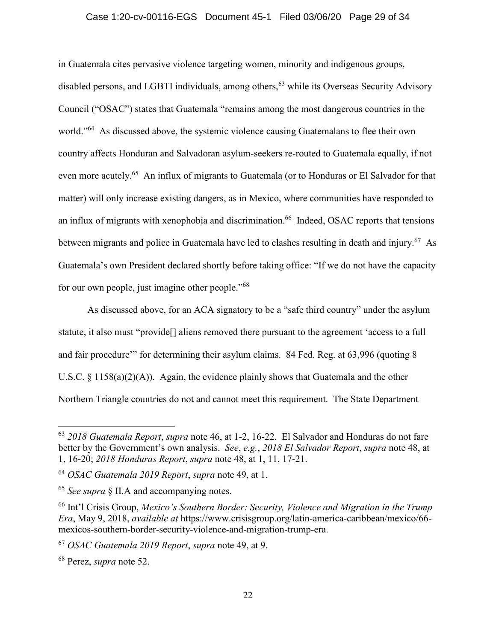## Case 1:20-cv-00116-EGS Document 45-1 Filed 03/06/20 Page 29 of 34

in Guatemala cites pervasive violence targeting women, minority and indigenous groups, disabled persons, and LGBTI individuals, among others,<sup>63</sup> while its Overseas Security Advisory Council ("OSAC") states that Guatemala "remains among the most dangerous countries in the world."<sup>64</sup> As discussed above, the systemic violence causing Guatemalans to flee their own country affects Honduran and Salvadoran asylum-seekers re-routed to Guatemala equally, if not even more acutely.<sup>65</sup> An influx of migrants to Guatemala (or to Honduras or El Salvador for that matter) will only increase existing dangers, as in Mexico, where communities have responded to an influx of migrants with xenophobia and discrimination.<sup>66</sup> Indeed, OSAC reports that tensions between migrants and police in Guatemala have led to clashes resulting in death and injury.<sup>67</sup> As Guatemala's own President declared shortly before taking office: "If we do not have the capacity for our own people, just imagine other people."<sup>68</sup>

As discussed above, for an ACA signatory to be a "safe third country" under the asylum statute, it also must "provide[] aliens removed there pursuant to the agreement 'access to a full and fair procedure'" for determining their asylum claims. 84 Fed. Reg. at 63,996 (quoting 8 U.S.C. § 1158(a)(2)(A)). Again, the evidence plainly shows that Guatemala and the other Northern Triangle countries do not and cannot meet this requirement. The State Department

<span id="page-28-1"></span><sup>63</sup> *2018 Guatemala Report*, *supra* note 46, at 1-2, 16-22. El Salvador and Honduras do not fare better by the Government's own analysis. *See*, *e.g.*, *2018 El Salvador Report*, *supra* note 48, at 1, 16-20; *2018 Honduras Report*, *supra* note 48, at 1, 11, 17-21.

<span id="page-28-3"></span><span id="page-28-2"></span><sup>64</sup> *OSAC Guatemala 2019 Report*, *supra* note 49, at 1.

<sup>65</sup> *See supra* § II.A and accompanying notes.

<span id="page-28-0"></span><sup>66</sup> Int'l Crisis Group, *Mexico's Southern Border: Security, Violence and Migration in the Trump Era*, May 9, 2018, *available at* https://www.crisisgroup.org/latin-america-caribbean/mexico/66 mexicos-southern-border-security-violence-and-migration-trump-era.

<sup>67</sup> *OSAC Guatemala 2019 Report*, *supra* note 49, at 9.

<sup>68</sup> Perez, *supra* note 52.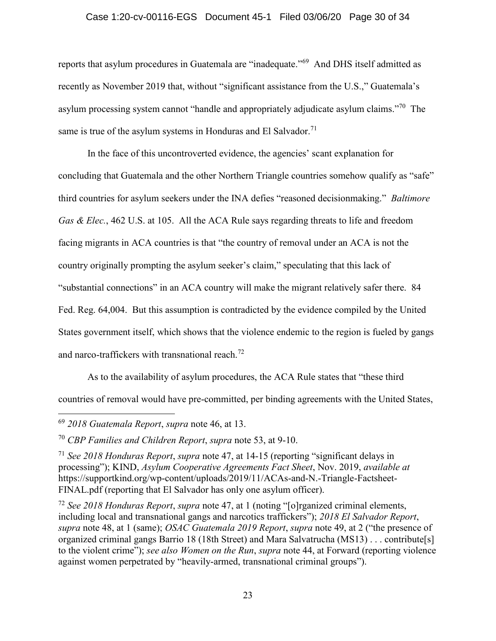## Case 1:20-cv-00116-EGS Document 45-1 Filed 03/06/20 Page 30 of 34

reports that asylum procedures in Guatemala are "inadequate."<sup>69</sup> And DHS itself admitted as recently as November 2019 that, without "significant assistance from the U.S.," Guatemala's asylum processing system cannot "handle and appropriately adjudicate asylum claims."<sup>70</sup> The same is true of the asylum systems in Honduras and El Salvador.<sup>71</sup>

<span id="page-29-0"></span>In the face of this uncontroverted evidence, the agencies' scant explanation for concluding that Guatemala and the other Northern Triangle countries somehow qualify as "safe" third countries for asylum seekers under the INA defies "reasoned decisionmaking." *Baltimore Gas & Elec.*, 462 U.S. at 105. All the ACA Rule says regarding threats to life and freedom facing migrants in ACA countries is that "the country of removal under an ACA is not the country originally prompting the asylum seeker's claim," speculating that this lack of "substantial connections" in an ACA country will make the migrant relatively safer there. 84 Fed. Reg. 64,004. But this assumption is contradicted by the evidence compiled by the United States government itself, which shows that the violence endemic to the region is fueled by gangs and narco-traffickers with transnational reach.<sup>72</sup>

As to the availability of asylum procedures, the ACA Rule states that "these third countries of removal would have pre-committed, per binding agreements with the United States,

<sup>69</sup> *2018 Guatemala Report*, *supra* note 46, at 13.

<span id="page-29-1"></span><sup>70</sup> *CBP Families and Children Report*, *supra* note 53, at 9-10.

<span id="page-29-3"></span><span id="page-29-2"></span><sup>71</sup> *See 2018 Honduras Report*, *supra* note 47, at 14-15 (reporting "significant delays in processing"); KIND, *Asylum Cooperative Agreements Fact Sheet*, Nov. 2019, *available at*  https://supportkind.org/wp-content/uploads/2019/11/ACAs-and-N.-Triangle-Factsheet-FINAL.pdf (reporting that El Salvador has only one asylum officer).

<span id="page-29-4"></span><sup>72</sup> *See 2018 Honduras Report*, *supra* note 47, at 1 (noting "[o]rganized criminal elements, including local and transnational gangs and narcotics traffickers"); *2018 El Salvador Report*, *supra* note 48, at 1 (same); *OSAC Guatemala 2019 Report*, *supra* note 49, at 2 ("the presence of organized criminal gangs Barrio 18 (18th Street) and Mara Salvatrucha (MS13) . . . contribute[s] to the violent crime"); *see also Women on the Run*, *supra* note 44, at Forward (reporting violence against women perpetrated by "heavily-armed, transnational criminal groups").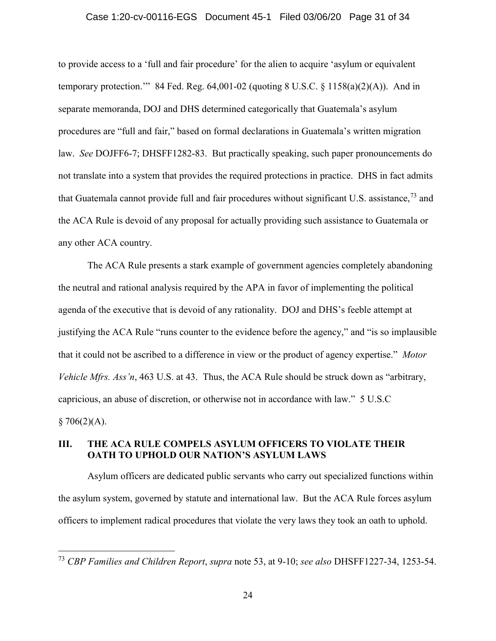### Case 1:20-cv-00116-EGS Document 45-1 Filed 03/06/20 Page 31 of 34

to provide access to a 'full and fair procedure' for the alien to acquire 'asylum or equivalent temporary protection." 84 Fed. Reg.  $64,001$ -02 (quoting 8 U.S.C. § 1158(a)(2)(A)). And in separate memoranda, DOJ and DHS determined categorically that Guatemala's asylum procedures are "full and fair," based on formal declarations in Guatemala's written migration law. *See* DOJFF6-7; DHSFF1282-83. But practically speaking, such paper pronouncements do not translate into a system that provides the required protections in practice. DHS in fact admits that Guatemala cannot provide full and fair procedures without significant U.S. assistance,  $^{73}$  and the ACA Rule is devoid of any proposal for actually providing such assistance to Guatemala or any other ACA country.

<span id="page-30-1"></span>The ACA Rule presents a stark example of government agencies completely abandoning the neutral and rational analysis required by the APA in favor of implementing the political agenda of the executive that is devoid of any rationality. DOJ and DHS's feeble attempt at justifying the ACA Rule "runs counter to the evidence before the agency," and "is so implausible that it could not be ascribed to a difference in view or the product of agency expertise." *Motor Vehicle Mfrs. Ass'n*, 463 U.S. at 43. Thus, the ACA Rule should be struck down as "arbitrary, capricious, an abuse of discretion, or otherwise not in accordance with law." 5 U.S.C  $§ 706(2)(A).$ 

## <span id="page-30-2"></span><span id="page-30-0"></span>**III. THE ACA RULE COMPELS ASYLUM OFFICERS TO VIOLATE THEIR OATH TO UPHOLD OUR NATION'S ASYLUM LAWS**

Asylum officers are dedicated public servants who carry out specialized functions within the asylum system, governed by statute and international law. But the ACA Rule forces asylum officers to implement radical procedures that violate the very laws they took an oath to uphold.

<span id="page-30-3"></span><sup>73</sup> *CBP Families and Children Report*, *supra* note 53, at 9-10; *see also* DHSFF1227-34, 1253-54.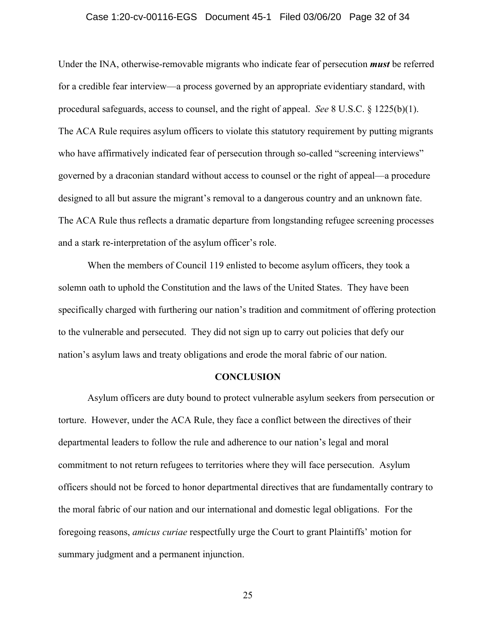## <span id="page-31-1"></span>Case 1:20-cv-00116-EGS Document 45-1 Filed 03/06/20 Page 32 of 34

Under the INA, otherwise-removable migrants who indicate fear of persecution *must* be referred for a credible fear interview—a process governed by an appropriate evidentiary standard, with procedural safeguards, access to counsel, and the right of appeal. *See* 8 U.S.C. § 1225(b)(1). The ACA Rule requires asylum officers to violate this statutory requirement by putting migrants who have affirmatively indicated fear of persecution through so-called "screening interviews" governed by a draconian standard without access to counsel or the right of appeal—a procedure designed to all but assure the migrant's removal to a dangerous country and an unknown fate. The ACA Rule thus reflects a dramatic departure from longstanding refugee screening processes and a stark re-interpretation of the asylum officer's role.

When the members of Council 119 enlisted to become asylum officers, they took a solemn oath to uphold the Constitution and the laws of the United States. They have been specifically charged with furthering our nation's tradition and commitment of offering protection to the vulnerable and persecuted. They did not sign up to carry out policies that defy our nation's asylum laws and treaty obligations and erode the moral fabric of our nation.

#### **CONCLUSION**

<span id="page-31-0"></span>Asylum officers are duty bound to protect vulnerable asylum seekers from persecution or torture. However, under the ACA Rule, they face a conflict between the directives of their departmental leaders to follow the rule and adherence to our nation's legal and moral commitment to not return refugees to territories where they will face persecution. Asylum officers should not be forced to honor departmental directives that are fundamentally contrary to the moral fabric of our nation and our international and domestic legal obligations. For the foregoing reasons, *amicus curiae* respectfully urge the Court to grant Plaintiffs' motion for summary judgment and a permanent injunction.

25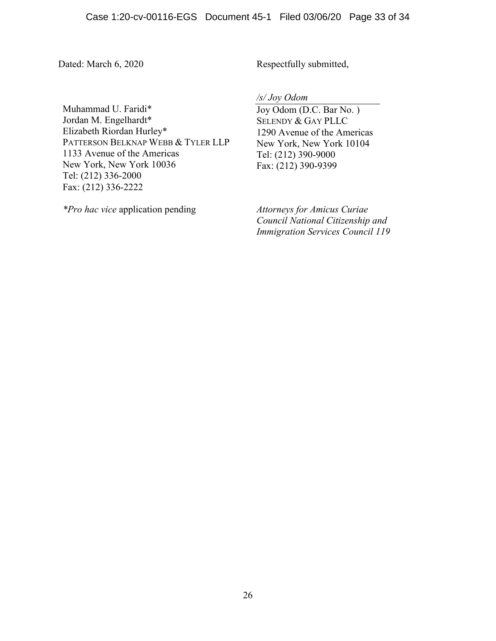Dated: March 6, 2020 Respectfully submitted,

Muhammad U. Faridi\* Jordan M. Engelhardt\* Elizabeth Riordan Hurley\* PATTERSON BELKNAP WEBB & TYLER LLP 1133 Avenue of the Americas New York, New York 10036 Tel: (212) 336-2000 Fax: (212) 336-2222

*\*Pro hac vice* application pending *Attorneys for Amicus Curiae* 

*/s/ Joy Odom*

Joy Odom (D.C. Bar No. ) SELENDY & GAY PLLC 1290 Avenue of the Americas New York, New York 10104 Tel: (212) 390-9000 Fax: (212) 390-9399

*Council National Citizenship and Immigration Services Council 119*